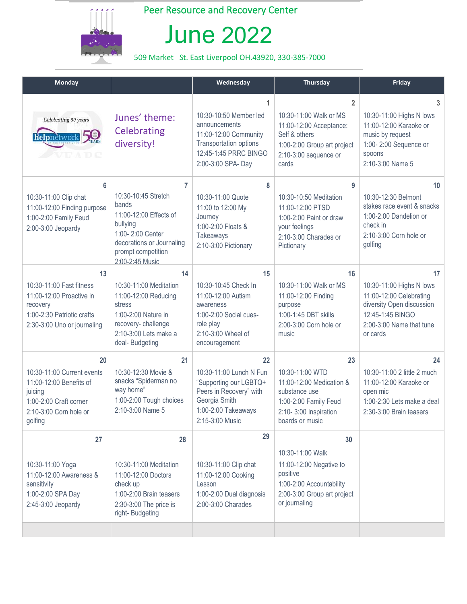

## Peer Resource and Recovery Center

## June 2022

## 509 Market St. East Liverpool OH.43920, 330-385-7000

| <b>Monday</b>                                                                                                                         |                                                                                                                                                                   | Wednesday                                                                                                                                     | <b>Thursday</b>                                                                                                                                       | Friday                                                                                                                                             |
|---------------------------------------------------------------------------------------------------------------------------------------|-------------------------------------------------------------------------------------------------------------------------------------------------------------------|-----------------------------------------------------------------------------------------------------------------------------------------------|-------------------------------------------------------------------------------------------------------------------------------------------------------|----------------------------------------------------------------------------------------------------------------------------------------------------|
| Celebrating 50 years<br>helpnetwork 5                                                                                                 | Junes' theme:<br>Celebrating<br>diversity!                                                                                                                        | 1<br>10:30-10:50 Member led<br>announcements<br>11:00-12:00 Community<br>Transportation options<br>12:45-1:45 PRRC BINGO<br>2:00-3:00 SPA-Day | $\overline{2}$<br>10:30-11:00 Walk or MS<br>11:00-12:00 Acceptance:<br>Self & others<br>1:00-2:00 Group art project<br>2:10-3:00 sequence or<br>cards | $\overline{3}$<br>10:30-11:00 Highs N lows<br>11:00-12:00 Karaoke or<br>music by request<br>1:00-2:00 Sequence or<br>spoons<br>2:10-3:00 Name 5    |
| 6<br>10:30-11:00 Clip chat<br>11:00-12:00 Finding purpose<br>1:00-2:00 Family Feud<br>2:00-3:00 Jeopardy                              | 7<br>10:30-10:45 Stretch<br>bands<br>11:00-12:00 Effects of<br>bullying<br>1:00-2:00 Center<br>decorations or Journaling<br>prompt competition<br>2:00-2:45 Music | 8<br>10:30-11:00 Quote<br>11:00 to 12:00 My<br>Journey<br>1:00-2:00 Floats &<br>Takeaways<br>2:10-3:00 Pictionary                             | 9<br>10:30-10:50 Meditation<br>11:00-12:00 PTSD<br>1:00-2:00 Paint or draw<br>your feelings<br>2:10-3:00 Charades or<br>Pictionary                    | 10 <sup>°</sup><br>10:30-12:30 Belmont<br>stakes race event & snacks<br>1:00-2:00 Dandelion or<br>check in<br>2:10-3:00 Corn hole or<br>golfing    |
| 13<br>10:30-11:00 Fast fitness<br>11:00-12:00 Proactive in<br>recovery<br>1:00-2:30 Patriotic crafts<br>2:30-3:00 Uno or journaling   | 14<br>10:30-11:00 Meditation<br>11:00-12:00 Reducing<br>stress<br>1:00-2:00 Nature in<br>recovery-challenge<br>2:10-3:00 Lets make a<br>deal- Budgeting           | 15<br>10:30-10:45 Check In<br>11:00-12:00 Autism<br>awareness<br>1:00-2:00 Social cues-<br>role play<br>2:10-3:00 Wheel of<br>encouragement   | 16<br>10:30-11:00 Walk or MS<br>11:00-12:00 Finding<br>purpose<br>1:00-1:45 DBT skills<br>2:00-3:00 Corn hole or<br>music                             | 17<br>10:30-11:00 Highs N lows<br>11:00-12:00 Celebrating<br>diversity Open discussion<br>12:45-1:45 BINGO<br>2:00-3:00 Name that tune<br>or cards |
| 20<br>10:30-11:00 Current events<br>11:00-12:00 Benefits of<br>juicing<br>1:00-2:00 Craft corner<br>2:10-3:00 Corn hole or<br>golfing | 21<br>10:30-12:30 Movie &<br>snacks "Spiderman no<br>way home"<br>1:00-2:00 Tough choices<br>2:10-3:00 Name 5                                                     | 22<br>10:30-11:00 Lunch N Fun<br>"Supporting our LGBTQ+<br>Peers in Recovery" with<br>Georgia Smith<br>1:00-2:00 Takeaways<br>2:15-3:00 Music | 23<br>10:30-11:00 WTD<br>11:00-12:00 Medication &<br>substance use<br>1:00-2:00 Family Feud<br>2:10-3:00 Inspiration<br>boards or music               | 24<br>10:30-11:00 2 little 2 much<br>11:00-12:00 Karaoke or<br>open mic<br>1:00-2:30 Lets make a deal<br>2:30-3:00 Brain teasers                   |
| 27<br>10:30-11:00 Yoga<br>11:00-12:00 Awareness &<br>sensitivity<br>1:00-2:00 SPA Day<br>$2:45-3:00$ Jeopardy                         | 28<br>10:30-11:00 Meditation<br>11:00-12:00 Doctors<br>check up<br>1:00-2:00 Brain teasers<br>2:30-3:00 The price is<br>right-Budgeting                           | 29<br>10:30-11:00 Clip chat<br>11:00-12:00 Cooking<br>Lesson<br>1:00-2:00 Dual diagnosis<br>2:00-3:00 Charades                                | 30<br>10:30-11:00 Walk<br>11:00-12:00 Negative to<br>positive<br>1:00-2:00 Accountability<br>2:00-3:00 Group art project<br>or journaling             |                                                                                                                                                    |